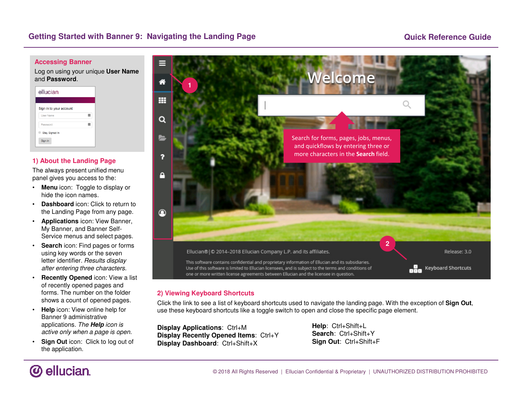## **Quick Reference Guide**

#### **Accessing Banner**

 Log on using your unique **User Name** and **Password**.

| ellucian.               |  |
|-------------------------|--|
| Sign in to your account |  |
| <b>User Name</b>        |  |
| Password                |  |
| Stay Signed In          |  |
| Sign In                 |  |

## **1) About the Landing Page**

 The always present unified menu panel gives you access to the:

- **Menu** icon: Toggle to display or hide the icon names.
- **Dashboard** icon: Click to return to the Landing Page from any page.
- **Applications** icon: View Banner, My Banner, and Banner Self-Service menus and select pages.
- • **Search** icon: Find pages or forms using key words or the seven letter identifier. Results display after entering three characters.
- • **Recently Opened** icon: View a list of recently opened pages and forms. The number on the folder shows a count of opened pages.
- **Help** icon: View online help for Banner 9 administrative applications. The **Help** icon is active only when a page is open.
- **Sign Out** icon: Click to log out of the application.



## **2) Viewing Keyboard Shortcuts**

 Click the link to see a list of keyboard shortcuts used to navigate the landing page. With the exception of **Sign Out**, use these keyboard shortcuts like a toggle switch to open and close the specific page element.

**Display Applications**: Ctrl+M **Display Recently Opened Items**: Ctrl+Y**Display Dashboard**: Ctrl+Shift+X

**Help**: Ctrl+Shift+L **Search**: Ctrl+Shift+Y**Sign Out**: Ctrl+Shift+F

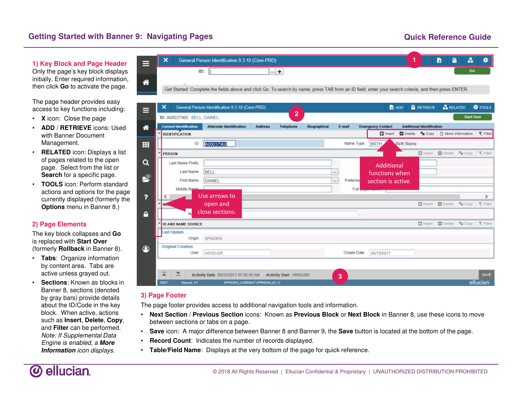# **Getting Started with Banner 9: Navigating Pages**

## **Quick Reference Guide**

**1) Key Block and Page Header**  Only the page's key block displays initially. Enter required information, then click **Go** to activate the page.

The page header provides easy access to key functions including:

- **<sup>X</sup>** icon: Close the page
- **ADD** / **RETRIEVE** icons: Used with Banner Document Management.
- **RELATED** icon: Displays a list of pages related to the open page. Select from the list or **Search** for a specific page.
- **TOOLS** icon: Perform standard actions and options for the page currently displayed (formerly the **Options** menu in Banner 8.)

### **2) Page Elements**

 The key block collapses and **Go**is replaced with **Start Over** (formerly **Rollback** in Banner 8).

- **Tabs**: Organize information by content area. Tabs are active unless grayed out.
- **Sections**: Known as blocks in Banner 8, sections (denoted by gray bars) provide details about the ID/Code in the key block. When active, actions such as **Insert**, **Delete**, **Copy**, and **Filter** can be performed. Note: If Supplemental Data Engine is enabled, a **More Information** icon displays.



| ⋿              |   | ×                                | General Person Identification 9.3.10 (Core-PRD)            |                                |                                  |          |             |                          | <b>B</b> ADD      | <b>RETRIEVE</b>                  | <b>ARELATED</b>                                        |                   | <b>☆</b> TOOLS |
|----------------|---|----------------------------------|------------------------------------------------------------|--------------------------------|----------------------------------|----------|-------------|--------------------------|-------------------|----------------------------------|--------------------------------------------------------|-------------------|----------------|
|                |   | ID: A00037960 BELL, DAINEL       |                                                            |                                | $\overline{2}$                   |          |             |                          |                   |                                  |                                                        | <b>Start Over</b> |                |
| 俗              |   | <b>Current Identification</b>    | <b>Alternate Identification</b>                            | <b>Address</b>                 | <b>Telephone</b><br>Biographical |          | E-mail      | <b>Emergency Contact</b> |                   | <b>Additional Identification</b> |                                                        |                   |                |
|                | ٠ | <b>IDENTIFICATION</b>            |                                                            |                                |                                  |          |             | $1$ Insert               |                   |                                  | □ Delete <sup>■</sup> Copy □ More Information → Filter |                   |                |
| ₩              |   | ID                               | A00037960                                                  |                                |                                  |          | Name Type   | <b>BRT</b>               | <b>Birth Name</b> |                                  |                                                        |                   |                |
|                |   | <b>PERSON</b>                    |                                                            |                                |                                  |          |             |                          |                   |                                  | Insert <b>D</b> Delete <b>W</b> Copy <b>Y</b> Filter   |                   |                |
| Q              |   | Last Name Prefix                 |                                                            |                                |                                  |          |             | <b>Additional</b>        |                   |                                  |                                                        |                   |                |
|                |   | Last Name                        | <b>BELL</b>                                                |                                |                                  | $\cdots$ |             | functions when           |                   |                                  |                                                        |                   |                |
| 閂              |   | First Name                       | DAINEL                                                     |                                |                                  | $\cdots$ | Preferred   | section is active.       |                   |                                  |                                                        |                   |                |
|                |   | Middle Namo                      |                                                            |                                |                                  |          | Full        |                          |                   |                                  |                                                        |                   |                |
| 7              |   |                                  | Use arrows to                                              |                                |                                  |          |             |                          |                   |                                  |                                                        |                   | $\rightarrow$  |
|                |   | No.                              | open and                                                   |                                |                                  |          |             |                          |                   |                                  | ■ Insert ■ Delete ■ Copy Y Filter                      |                   |                |
| Α              |   | N <sub>1</sub>                   | close sections.                                            |                                |                                  |          | $\sim$      |                          |                   |                                  |                                                        |                   |                |
|                |   | <b>ID AND NAME SOURCE</b>        |                                                            |                                |                                  |          |             |                          |                   |                                  | Insert Delete "Copy Y Filter                           |                   |                |
|                |   | ast Update                       |                                                            |                                |                                  |          |             |                          |                   |                                  |                                                        |                   |                |
|                |   | Origin                           | SPAIDEN                                                    |                                |                                  |          |             |                          |                   |                                  |                                                        |                   |                |
| $\circledcirc$ |   | <b>Original Creation</b><br>User | HRISUSR                                                    |                                |                                  |          | Create Date | 09/15/2017               |                   |                                  |                                                        |                   |                |
|                |   |                                  |                                                            |                                |                                  |          |             |                          |                   |                                  |                                                        |                   |                |
|                |   |                                  |                                                            |                                |                                  |          |             |                          |                   |                                  |                                                        |                   |                |
|                |   | ⊻<br>A                           | Activity Date 09/15/2017 07:45:45 AM Activity User HRISUSR |                                |                                  | 3        |             |                          |                   |                                  |                                                        |                   | SAVE           |
|                |   | Record: 1/1<br><b>EDIT</b>       |                                                            | SPRIDEN_CURRENT.SPRIDEN_ID [1] |                                  |          |             |                          |                   |                                  |                                                        |                   | ellucian       |

### **3) Page Footer**

The page footer provides access to additional navigation tools and information.

- **Next Section** / **Previous Section** icons: Known as **Previous Block** or **Next Block** in Banner 8, use these icons to move between sections or tabs on a page.
- **Save** icon: A major difference between Banner 8 and Banner 9, the **Save** button is located at the bottom of the page.
- •**Record Count**: Indicates the number of records displayed.
- **Table/Field Name**: Displays at the very bottom of the page for quick reference.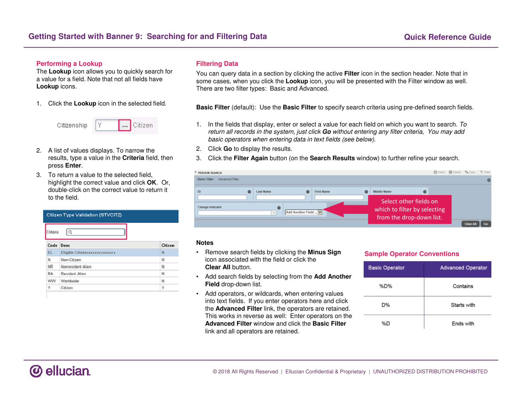#### **Performing a Lookup**

 The **Lookup** icon allows you to quickly search for a value for a field. Note that not all fields have **Lookup** icons.

1. Click the **Lookup** icon in the selected field.



- 2. A list of values displays. To narrow the results, type a value in the **Criteria** field, then press **Enter**.
- 3. To return a value to the selected field, highlight the correct value and click **OK**. Or, double-click on the correct value to return it to the field.

| Criteria | Ō                              |         |
|----------|--------------------------------|---------|
| Code     | Desc                           | Citizen |
| EL.      | Eligible Citizencococococococo | N       |
| Ν        | Non-Citizen                    | N       |
| NR       | Nonresident Alien              | N       |
| RA       | Resident Alien                 | N       |
| ww       | Worldwide                      | N       |
| Υ        | Citizen                        | Υ       |

#### **Filtering Data**

You can query data in a section by clicking the active **Filter** icon in the section header. Note that in some cases, when you click the **Lookup** icon, you will be presented with the Filter window as well. There are two filter types: Basic and Advanced.

**Basic Filter** (default): Use the **Basic Filter** to specify search criteria using pre-defined search fields.

- 1. In the fields that display, enter or select a value for each field on which you want to search. To return all records in the system, just click **Go** without entering any filter criteria, You may add basic operators when entering data in text fields (see below).
- 2. Click **Go** to display the results.
- 3. Click the **Filter Again** button (on the **Search Results** window) to further refine your search.



#### **Notes**

- Remove search fields by clicking the **Minus Sign**  icon associated with the field or click the **Clear All** button.
- Add search fields by selecting from the **Add Another Field** drop-down list.
- Add operators, or wildcards, when entering values into text fields. If you enter operators here and click the **Advanced Filter** link, the operators are retained. This works in reverse as well: Enter operators on the **Advanced Filter** window and click the **Basic Filter**link and all operators are retained.

#### **Sample Operator Conventions**

| <b>Basic Operator</b> | <b>Advanced Operator</b> |
|-----------------------|--------------------------|
| %D%                   | Contains                 |
| D%                    | Starts with              |
| %D                    | Ends with                |

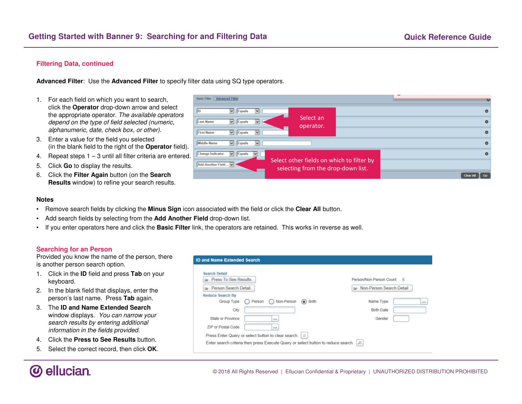### **Filtering Data, continued**

**Advanced Filter**: Use the **Advanced Filter** to specify filter data using SQ type operators.

- 1. For each field on which you want to search, click the **Operator** drop-down arrow and select the appropriate operator. The available operators depend on the type of field selected (numeric, alphanumeric, date, check box, or other).
- 3. Enter a value for the field you selected (in the blank field to the right of the **Operator** field).
- 4. Repeat steps 1 3 until all filter criteria are entered.
- 5. Click **Go** to display the results.
- 6. Click the **Filter Again** button (on the **Search Results** window) to refine your search results.

| Basic Filter   Advanced Filter                                          |                                                                                 | <b>RS</b>   |
|-------------------------------------------------------------------------|---------------------------------------------------------------------------------|-------------|
| $\triangleright$   Equals<br>⊻<br><b>IID</b>                            |                                                                                 |             |
| $\triangleright$ Equals<br>Last Name<br>M                               | Select an<br>operator.                                                          |             |
| $\overline{\mathbf{v}}$<br><b>First Name</b><br>$\triangleright$ Equals |                                                                                 | c           |
| Middle Name<br>$\vee$ Equals<br>$\vee$                                  |                                                                                 |             |
| Change Indicator<br>$\triangleright$   Equals<br>$\vee$<br>$\sim$       |                                                                                 |             |
| Add Another Field                                                       | Select other fields on which to filter by<br>selecting from the drop-down list. |             |
|                                                                         |                                                                                 | Go<br>Clear |

#### **Notes**

- Remove search fields by clicking the **Minus Sign** icon associated with the field or click the **Clear All** button.
- •Add search fields by selecting from the **Add Another Field** drop-down list.
- If you enter operators here and click the **Basic Filter** link, the operators are retained. This works in reverse as well.

#### **Searching for an Person**

 Provided you know the name of the person, there is another person search option.

- 1. Click in the **ID** field and press **Tab** on your keyboard.
- 2. In the blank field that displays, enter the person's last name. Press **Tab** again.
- 3. The **ID and Name Extended Search**  window displays. You can narrow your search results by entering additional information in the fields provided.
- 4. Click the **Press to See Results** button.
- 5. Select the correct record, then click **OK**.